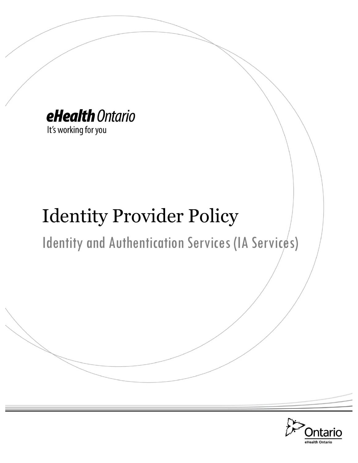

Identity Provider Policy

Identity and Authentication Services (IA Services)

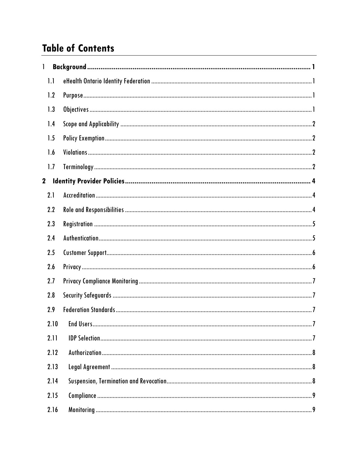# **Table of Contents**

| 1           |      |  |
|-------------|------|--|
| 1.1         |      |  |
| 1.2         |      |  |
| 1.3         |      |  |
| 1.4         |      |  |
| 1.5         |      |  |
| 1.6         |      |  |
| 1.7         |      |  |
| $\mathbf 2$ |      |  |
| 2.1         |      |  |
| 2.2         |      |  |
| 2.3         |      |  |
| 2.4         |      |  |
| 2.5         |      |  |
| 2.6         |      |  |
| 2.7         |      |  |
| 2.8         |      |  |
| 2.9         |      |  |
|             | 2.10 |  |
|             | 2.11 |  |
|             | 2.12 |  |
|             | 2.13 |  |
|             | 2.14 |  |
|             | 2.15 |  |
|             | 2.16 |  |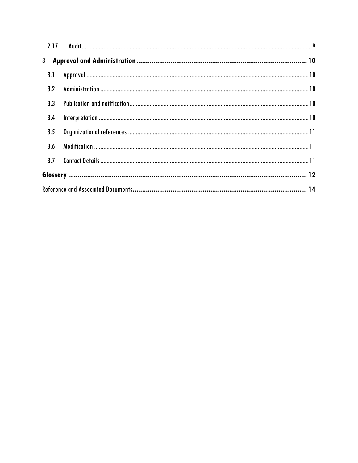| 3.4 |  |
|-----|--|
| 3.5 |  |
|     |  |
|     |  |
|     |  |
|     |  |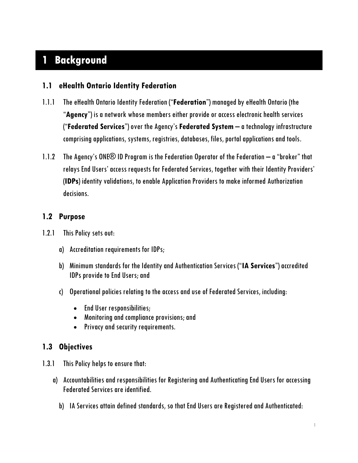# <span id="page-3-0"></span>**1 Background**

### <span id="page-3-1"></span>**1.1 eHealth Ontario Identity Federation**

- 1.1.1 The eHealth Ontario Identity Federation ("**Federation**") managed by eHealth Ontario (the "**Agency**") is a network whose members either provide or access electronic health services ("**Federated Services**") over the Agency's **Federated System** – a technology infrastructure comprising applications, systems, registries, databases, files, portal applications and tools.
- 1.1.2 The Agency's ONE® ID Program is the Federation Operator of the Federation a "broker" that relays End Users' access requests for Federated Services, together with their Identity Providers' (**IDPs**) identity validations, to enable Application Providers to make informed Authorization decisions.

#### <span id="page-3-2"></span>**1.2 Purpose**

- 1.2.1 This Policy sets out:
	- a) Accreditation requirements for IDPs;
	- b) Minimum standards for the Identity and Authentication Services ("**IA Services**") accredited IDPs provide to End Users; and
	- c) Operational policies relating to the access and use of Federated Services, including:
		- End User responsibilities;
		- Monitoring and compliance provisions; and
		- Privacy and security requirements.

# <span id="page-3-3"></span>**1.3 Objectives**

- 1.3.1 This Policy helps to ensure that:
	- a) Accountabilities and responsibilities for Registering and Authenticating End Users for accessing Federated Services are identified.
		- b) IA Services attain defined standards, so that End Users are Registered and Authenticated: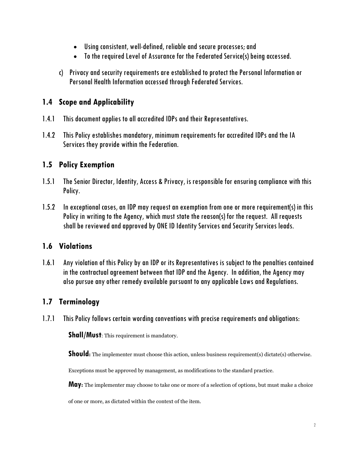- Using consistent, well-defined, reliable and secure processes; and
- To the required Level of Assurance for the Federated Service(s) being accessed.
- c) Privacy and security requirements are established to protect the Personal Information or Personal Health Information accessed through Federated Services.

# <span id="page-4-0"></span>**1.4 Scope and Applicability**

- 1.4.1 This document applies to all accredited IDPs and their Representatives.
- 1.4.2 This Policy establishes mandatory, minimum requirements for accredited IDPs and the IA Services they provide within the Federation.

#### <span id="page-4-1"></span>**1.5 Policy Exemption**

- 1.5.1 The Senior Director, Identity, Access & Privacy, is responsible for ensuring compliance with this Policy.
- 1.5.2 In exceptional cases, an IDP may request an exemption from one or more requirement(s) in this Policy in writing to the Agency, which must state the reason(s) for the request. All requests shall be reviewed and approved by ONE ID Identity Services and Security Services leads.

#### <span id="page-4-2"></span>**1.6 Violations**

1.6.1 Any violation of this Policy by an IDP or its Representatives is subject to the penalties contained in the contractual agreement between that IDP and the Agency. In addition, the Agency may also pursue any other remedy available pursuant to any applicable Laws and Regulations.

# <span id="page-4-3"></span>**1.7 Terminology**

1.7.1 This Policy follows certain wording conventions with precise requirements and obligations:

**Shall/Must:** This requirement is mandatory.

**Should**: The implementer must choose this action, unless business requirement(s) dictate(s) otherwise.

Exceptions must be approved by management, as modifications to the standard practice.

**May:** The implementer may choose to take one or more of a selection of options, but must make a choice

of one or more, as dictated within the context of the item.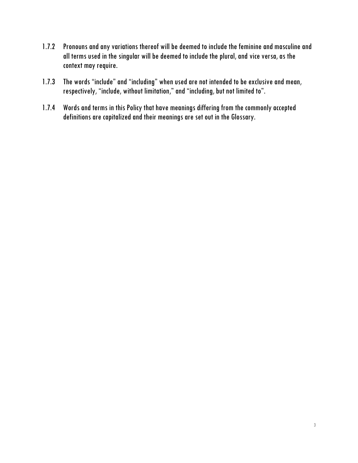- 1.7.2 Pronouns and any variations thereof will be deemed to include the feminine and masculine and all terms used in the singular will be deemed to include the plural, and vice versa, as the context may require.
- 1.7.3 The words "include" and "including" when used are not intended to be exclusive and mean, respectively, "include, without limitation," and "including, but not limited to".
- 1.7.4 Words and terms in this Policy that have meanings differing from the commonly accepted definitions are capitalized and their meanings are set out in the Glossary.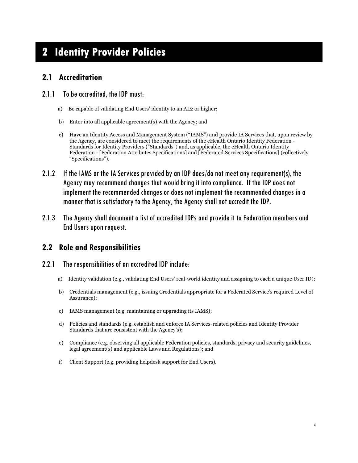# <span id="page-6-0"></span>**2 Identity Provider Policies**

#### <span id="page-6-1"></span>**2.1 Accreditation**

#### 2.1.1 To be accredited, the IDP must:

- a) Be capable of validating End Users' identity to an AL2 or higher;
- b) Enter into all applicable agreement(s) with the Agency; and
- c) Have an Identity Access and Management System ("IAMS") and provide IA Services that, upon review by the Agency, are considered to meet the requirements of the eHealth Ontario Identity Federation - Standards for Identity Providers ("Standards") and, as applicable, the eHealth Ontario Identity Federation - [Federation Attributes Specifications] and [Federated Services Specifications] (collectively "Specifications").
- 2.1.2 If the IAMS or the IA Services provided by an IDP does/do not meet any requirement(s), the Agency may recommend changes that would bring it into compliance. If the IDP does not implement the recommended changes or does not implement the recommended changes in a manner that is satisfactory to the Agency, the Agency shall not accredit the IDP.
- 2.1.3 The Agency shall document a list of accredited IDPs and provide it to Federation members and End Users upon request.

#### <span id="page-6-2"></span>**2.2 Role and Responsibilities**

#### 2.2.1 The responsibilities of an accredited IDP include:

- a) Identity validation (e.g., validating End Users' real-world identity and assigning to each a unique User ID);
- b) Credentials management (e.g., issuing Credentials appropriate for a Federated Service's required Level of Assurance);
- c) IAMS management (e.g. maintaining or upgrading its IAMS);
- d) Policies and standards (e.g. establish and enforce IA Services-related policies and Identity Provider Standards that are consistent with the Agency's);
- e) Compliance (e.g. observing all applicable Federation policies, standards, privacy and security guidelines, legal agreement(s) and applicable Laws and Regulations); and
- f) Client Support (e.g. providing helpdesk support for End Users).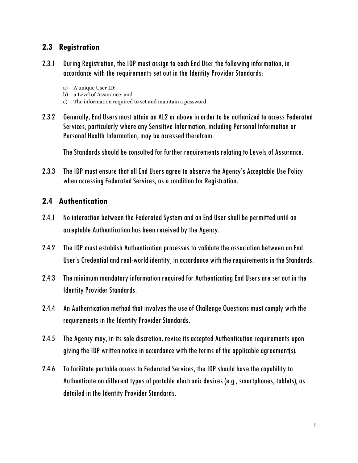### <span id="page-7-0"></span>**2.3 Registration**

- 2.3.1 During Registration, the IDP must assign to each End User the following information, in accordance with the requirements set out in the Identity Provider Standards:
	- a) A unique User ID;
	- b) a Level of Assurance; and
	- c) The information required to set and maintain a password.
- 2.3.2 Generally, End Users must attain an AL2 or above in order to be authorized to access Federated Services, particularly where any Sensitive Information, including Personal Information or Personal Health Information, may be accessed therefrom.

The Standards should be consulted for further requirements relating to Levels of Assurance.

2.3.3 The IDP must ensure that all End Users agree to observe the Agency's Acceptable Use Policy when accessing Federated Services, as a condition for Registration.

#### <span id="page-7-1"></span>**2.4 Authentication**

- 2.4.1 No interaction between the Federated System and an End User shall be permitted until an acceptable Authentication has been received by the Agency.
- 2.4.2 The IDP must establish Authentication processes to validate the association between an End User's Credential and real-world identity, in accordance with the requirements in the Standards.
- 2.4.3 The minimum mandatory information required for Authenticating End Users are set out in the Identity Provider Standards.
- 2.4.4 An Authentication method that involves the use of Challenge Questions must comply with the requirements in the Identity Provider Standards.
- 2.4.5 The Agency may, in its sole discretion, revise its accepted Authentication requirements upon giving the IDP written notice in accordance with the terms of the applicable agreement(s).
- 2.4.6 To facilitate portable access to Federated Services, the IDP should have the capability to Authenticate on different types of portable electronic devices (e.g., smartphones, tablets), as detailed in the Identity Provider Standards.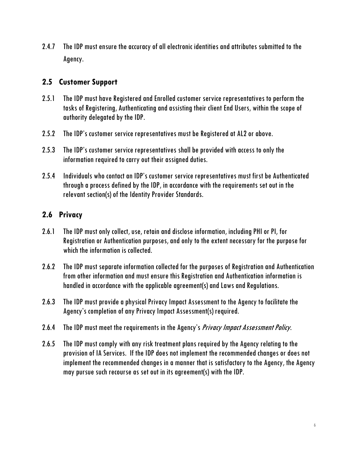2.4.7 The IDP must ensure the accuracy of all electronic identities and attributes submitted to the Agency.

#### <span id="page-8-0"></span>**2.5 Customer Support**

- 2.5.1 The IDP must have Registered and Enrolled customer service representatives to perform the tasks of Registering, Authenticating and assisting their client End Users, within the scope of authority delegated by the IDP.
- 2.5.2 The IDP's customer service representatives must be Registered at AL2 or above.
- 2.5.3 The IDP's customer service representatives shall be provided with access to only the information required to carry out their assigned duties.
- 2.5.4 Individuals who contact an IDP's customer service representatives must first be Authenticated through a process defined by the IDP, in accordance with the requirements set out in the relevant section(s) of the Identity Provider Standards.

#### <span id="page-8-1"></span>**2.6 Privacy**

- 2.6.1 The IDP must only collect, use, retain and disclose information, including PHI or PI, for Registration or Authentication purposes, and only to the extent necessary for the purpose for which the information is collected.
- 2.6.2 The IDP must separate information collected for the purposes of Registration and Authentication from other information and must ensure this Registration and Authentication information is handled in accordance with the applicable agreement(s) and Laws and Regulations.
- 2.6.3 The IDP must provide a physical Privacy Impact Assessment to the Agency to facilitate the Agency's completion of any Privacy Impact Assessment(s) required.
- 2.6.4 The IDP must meet the requirements in the Agency's *Privacy Impact Assessment Policy*.
- 2.6.5 The IDP must comply with any risk treatment plans required by the Agency relating to the provision of IA Services. If the IDP does not implement the recommended changes or does not implement the recommended changes in a manner that is satisfactory to the Agency, the Agency may pursue such recourse as set out in its agreement(s) with the IDP.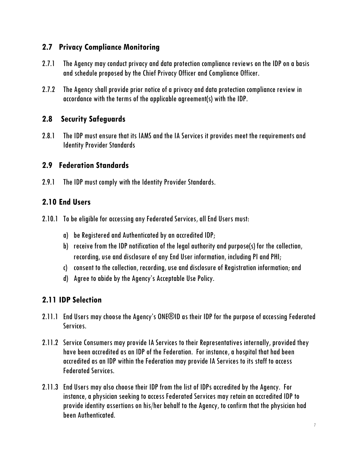# <span id="page-9-0"></span>**2.7 Privacy Compliance Monitoring**

- 2.7.1 The Agency may conduct privacy and data protection compliance reviews on the IDP on a basis and schedule proposed by the Chief Privacy Officer and Compliance Officer.
- 2.7.2 The Agency shall provide prior notice of a privacy and data protection compliance review in accordance with the terms of the applicable agreement(s) with the IDP.

# <span id="page-9-1"></span>**2.8 Security Safeguards**

2.8.1 The IDP must ensure that its IAMS and the IA Services it provides meet the requirements and Identity Provider Standards

#### <span id="page-9-2"></span>**2.9 Federation Standards**

2.9.1 The IDP must comply with the Identity Provider Standards.

# <span id="page-9-3"></span>**2.10 End Users**

- 2.10.1 To be eligible for accessing any Federated Services, all End Users must:
	- a) be Registered and Authenticated by an accredited IDP;
	- b) receive from the IDP notification of the legal authority and purpose(s) for the collection, recording, use and disclosure of any End User information, including PI and PHI;
	- c) consent to the collection, recording, use and disclosure of Registration information; and
	- d) Agree to abide by the Agency's Acceptable Use Policy.

# <span id="page-9-4"></span>**2.11 IDP Selection**

- 2.11.1 End Users may choose the Agency's ONE®ID as their IDP for the purpose of accessing Federated Services.
- 2.11.2 Service Consumers may provide IA Services to their Representatives internally, provided they have been accredited as an IDP of the Federation. For instance, a hospital that had been accredited as an IDP within the Federation may provide IA Services to its staff to access Federated Services.
- 2.11.3 End Users may also choose their IDP from the list of IDPs accredited by the Agency. For instance, a physician seeking to access Federated Services may retain an accredited IDP to provide identity assertions on his/her behalf to the Agency, to confirm that the physician had been Authenticated.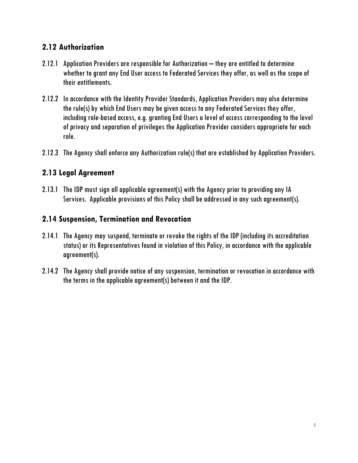# <span id="page-10-0"></span>**2.12 Authorization**

- 2.12.1 Application Providers are responsible for Authorization they are entitled to determine whether to grant any End User access to Federated Services they offer, as well as the scope of their entitlements.
- 2.12.2 In accordance with the Identity Provider Standards, Application Providers may also determine the rule(s) by which End Users may be given access to any Federated Services they offer, including role-based access, e.g. granting End Users a level of access corresponding to the level of privacy and separation of privileges the Application Provider considers appropriate for each role.
- 2.12.3 The Agency shall enforce any Authorization rule(s) that are established by Application Providers.

# <span id="page-10-1"></span>**2.13 Legal Agreement**

2.13.1 The IDP must sign all applicable agreement(s) with the Agency prior to providing any IA Services. Applicable provisions of this Policy shall be addressed in any such agreement(s).

# <span id="page-10-2"></span>**2.14 Suspension, Termination and Revocation**

- 2.14.1 The Agency may suspend, terminate or revoke the rights of the IDP(including its accreditation status)or its Representatives found in violation of this Policy, in accordance with the applicable agreement(s).
- 2.14.2 The Agency shall provide notice of any suspension, termination or revocation in accordance with the terms in the applicable agreement(s) between it and the IDP.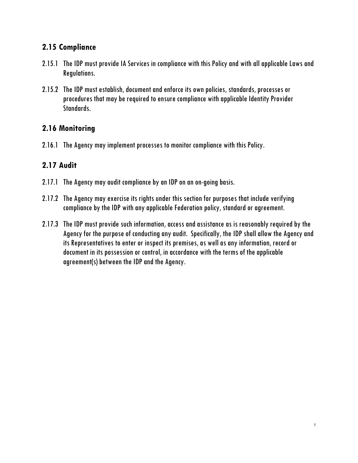# <span id="page-11-0"></span>**2.15 Compliance**

- 2.15.1 The IDP must provide IA Services in compliance with this Policy and with all applicable Laws and Regulations.
- 2.15.2 The IDP must establish, document and enforce its own policies, standards, processes or procedures that may be required to ensure compliance with applicable Identity Provider Standards.

# <span id="page-11-1"></span>**2.16 Monitoring**

2.16.1 The Agency may implement processes to monitor compliance with this Policy.

# <span id="page-11-2"></span>**2.17 Audit**

- 2.17.1 The Agency may audit compliance by an IDP on an on-going basis.
- 2.17.2 The Agency may exercise its rights under this section for purposes that include verifying compliance by the IDP with any applicable Federation policy, standard or agreement.
- 2.17.3 The IDP must provide such information, access and assistance as is reasonably required by the Agency for the purpose of conducting any audit. Specifically, the IDP shall allow the Agency and its Representatives to enter or inspect its premises, as well as any information, record or document in its possession or control, in accordance with the terms of the applicable agreement(s)between the IDP and the Agency.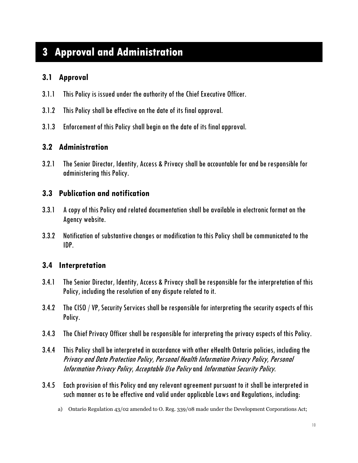# <span id="page-12-0"></span>**3 Approval and Administration**

# <span id="page-12-1"></span>**3.1 Approval**

- 3.1.1 This Policy is issued under the authority of the Chief Executive Officer.
- 3.1.2 This Policy shallbe effective on the date of its final approval.
- 3.1.3 Enforcement of this Policy shall begin on the date of its final approval.

#### <span id="page-12-2"></span>**3.2 Administration**

3.2.1 The Senior Director, Identity, Access & Privacy shall be accountable for and be responsible for administering this Policy.

#### <span id="page-12-3"></span>**3.3 Publication and notification**

- 3.3.1 A copy of this Policy and related documentation shall be available in electronic format on the Agency website.
- 3.3.2 Notification of substantive changes or modification to this Policy shall be communicated to the IDP.

#### <span id="page-12-4"></span>**3.4 Interpretation**

- 3.4.1 The Senior Director, Identity, Access & Privacy shall be responsible for the interpretation of this Policy, including the resolution of any dispute related to it.
- 3.4.2 The CISO / VP, Security Services shall be responsible for interpreting the security aspects of this Policy.
- 3.4.3 The Chief Privacy Officer shall be responsible for interpreting the privacy aspects of this Policy.
- 3.4.4 This Policy shall be interpreted in accordance with other eHealth Ontario policies, including the Privacy and Data Protection Policy, Personal Health Information Privacy Policy, Personal Information Privacy Policy, Acceptable Use Policy and Information Security Policy.
- 3.4.5 Each provision of thisPolicy and any relevant agreement pursuant to it shall be interpreted in such manner as to be effective and valid under applicable Laws and Regulations, including:
	- a) Ontario Regulation 43/02 amended to O. Reg. 339/08 made under the Development Corporations Act;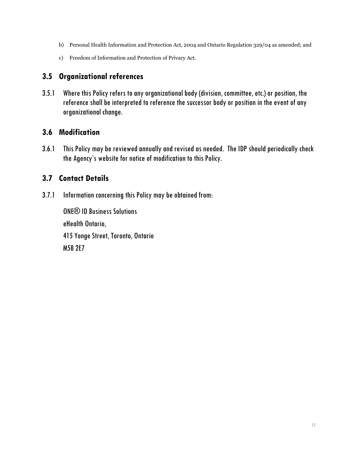- b) Personal Health Information and Protection Act, 2004 and Ontario Regulation 329/04 as amended; and
- c) Freedom of Information and Protection of Privacy Act.

# <span id="page-13-0"></span>**3.5 Organizational references**

3.5.1 Where thisPolicy refers to any organizational body (division, committee, etc.) or position, the reference shall be interpreted to reference the successor body or position in the event of any organizational change.

# <span id="page-13-1"></span>**3.6 Modification**

3.6.1 This Policy may be reviewed annually and revised as needed. The IDP should periodically check the Agency's website for notice of modification to this Policy.

# <span id="page-13-2"></span>**3.7 Contact Details**

3.7.1 Information concerning this Policy may be obtained from:

ONE® ID Business Solutions eHealth Ontario, 415 Yonge Street, Toronto, Ontario M5B 2E7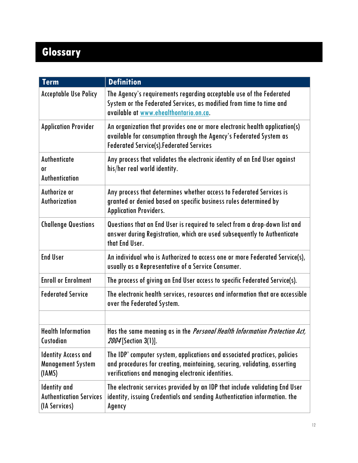# <span id="page-14-0"></span>**Glossary**

| <b>Term</b>                                                            | <b>Definition</b>                                                                                                                                                                                           |
|------------------------------------------------------------------------|-------------------------------------------------------------------------------------------------------------------------------------------------------------------------------------------------------------|
| <b>Acceptable Use Policy</b>                                           | The Agency's requirements regarding acceptable use of the Federated<br>System or the Federated Services, as modified from time to time and<br>available at www.ehealthontario.on.ca.                        |
| <b>Application Provider</b>                                            | An organization that provides one or more electronic health application(s)<br>available for consumption through the Agency's Federated System as<br><b>Federated Service(s). Federated Services</b>         |
| Authenticate<br><sub>0r</sub><br><b>Authentication</b>                 | Any process that validates the electronic identity of an End User against<br>his/her real world identity.                                                                                                   |
| Authorize or<br>Authorization                                          | Any process that determines whether access to Federated Services is<br>granted or denied based on specific business rules determined by<br><b>Application Providers.</b>                                    |
| <b>Challenge Questions</b>                                             | Questions that an End User is required to select from a drop-down list and<br>answer during Registration, which are used subsequently to Authenticate<br>that End User.                                     |
| <b>End User</b>                                                        | An individual who is Authorized to access one or more Federated Service(s),<br>usually as a Representative of a Service Consumer.                                                                           |
| <b>Enroll or Enrolment</b>                                             | The process of giving an End User access to specific Federated Service(s).                                                                                                                                  |
| <b>Federated Service</b>                                               | The electronic health services, resources and information that are accessible<br>over the Federated System.                                                                                                 |
|                                                                        |                                                                                                                                                                                                             |
| <b>Health Information</b><br>Custodian                                 | Has the same meaning as in the <i>Personal Health Information Protection Act</i> ,<br>2004 [Section 3(1)].                                                                                                  |
| <b>Identity Access and</b><br><b>Management System</b><br>(IAMS)       | The IDP' computer system, applications and associated practices, policies<br>and procedures for creating, maintaining, securing, validating, asserting<br>verifications and managing electronic identities. |
| <b>Identity</b> and<br><b>Authentication Services</b><br>(IA Services) | The electronic services provided by an IDP that include validating End User<br>identity, issuing Credentials and sending Authentication information. the<br>Agency                                          |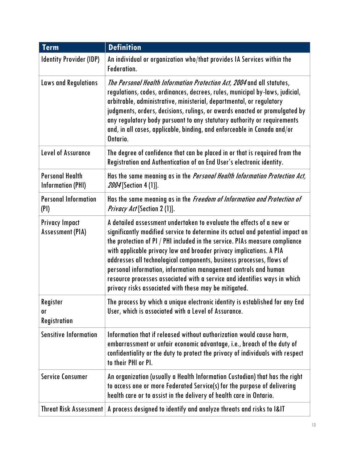| <b>Term</b>                                        | <b>Definition</b>                                                                                                                                                                                                                                                                                                                                                                                                                                                                                                                                                                             |
|----------------------------------------------------|-----------------------------------------------------------------------------------------------------------------------------------------------------------------------------------------------------------------------------------------------------------------------------------------------------------------------------------------------------------------------------------------------------------------------------------------------------------------------------------------------------------------------------------------------------------------------------------------------|
| <b>Identity Provider (IDP)</b>                     | An individual or organization who/that provides IA Services within the<br>Federation.                                                                                                                                                                                                                                                                                                                                                                                                                                                                                                         |
| <b>Laws and Regulations</b>                        | The Personal Health Information Protection Act, 2004 and all statutes,<br>regulations, codes, ordinances, decrees, rules, municipal by-laws, judicial,<br>arbitrable, administrative, ministerial, departmental, or regulatory<br>judgments, orders, decisions, rulings, or awards enacted or promulgated by<br>any regulatory body pursuant to any statutory authority or requirements<br>and, in all cases, applicable, binding, and enforceable in Canada and/or<br>Ontario.                                                                                                               |
| <b>Level of Assurance</b>                          | The degree of confidence that can be placed in or that is required from the<br>Registration and Authentication of an End User's electronic identity.                                                                                                                                                                                                                                                                                                                                                                                                                                          |
| <b>Personal Health</b><br><b>Information (PHI)</b> | Has the same meaning as in the <i>Personal Health Information Protection Act</i> ,<br>2004 [Section 4 (1)].                                                                                                                                                                                                                                                                                                                                                                                                                                                                                   |
| <b>Personal Information</b><br>(PI)                | Has the same meaning as in the <i>Freedom of Information and Protection of</i><br>Privacy Act [Section 2 (1)].                                                                                                                                                                                                                                                                                                                                                                                                                                                                                |
| <b>Privacy Impact</b><br><b>Assessment (PIA)</b>   | A detailed assessment undertaken to evaluate the effects of a new or<br>significantly modified service to determine its actual and potential impact on<br>the protection of PI / PHI included in the service. PIAs measure compliance<br>with applicable privacy law and broader privacy implications. A PIA<br>addresses all technological components, business processes, flows of<br>personal information, information management controls and human<br>resource processes associated with a service and identifies ways in which<br>privacy risks associated with these may be mitigated. |
| Register<br>0ľ<br>Registration                     | The process by which a unique electronic identity is established for any End<br>User, which is associated with a Level of Assurance.                                                                                                                                                                                                                                                                                                                                                                                                                                                          |
| <b>Sensitive Information</b>                       | Information that if released without authorization would cause harm,<br>embarrassment or unfair economic advantage, i.e., breach of the duty of<br>confidentiality or the duty to protect the privacy of individuals with respect<br>to their PHI or PI.                                                                                                                                                                                                                                                                                                                                      |
| <b>Service Consumer</b>                            | An organization (usually a Health Information Custodian) that has the right<br>to access one or more Federated Service(s) for the purpose of delivering<br>health care or to assist in the delivery of health care in Ontario.                                                                                                                                                                                                                                                                                                                                                                |
| <b>Threat Risk Assessment</b>                      | A process designed to identify and analyze threats and risks to I&IT                                                                                                                                                                                                                                                                                                                                                                                                                                                                                                                          |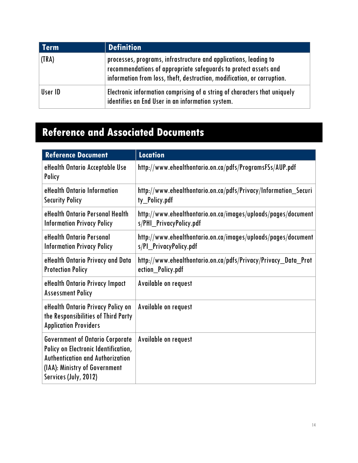| <b>Term</b> | <b>Definition</b>                                                                                                                                                                                              |
|-------------|----------------------------------------------------------------------------------------------------------------------------------------------------------------------------------------------------------------|
| (TRA)       | processes, programs, infrastructure and applications, leading to<br>recommendations of appropriate safeguards to protect assets and<br>information from loss, theft, destruction, modification, or corruption. |
| User ID     | Electronic information comprising of a string of characters that uniquely<br>identifies an End User in an information system.                                                                                  |

# <span id="page-16-0"></span>**Reference and Associated Documents**

| <b>Reference Document</b>                                                                                                                                                           | <b>Location</b>                                                                          |
|-------------------------------------------------------------------------------------------------------------------------------------------------------------------------------------|------------------------------------------------------------------------------------------|
| eHealth Ontario Acceptable Use<br>Policy                                                                                                                                            | http://www.ehealthontario.on.ca/pdfs/ProgramsFSs/AUP.pdf                                 |
| eHealth Ontario Information<br><b>Security Policy</b>                                                                                                                               | http://www.ehealthontario.on.ca/pdfs/Privacy/Information_Securi<br>ty_Policy.pdf         |
| eHealth Ontario Personal Health<br><b>Information Privacy Policy</b>                                                                                                                | http://www.ehealthontario.on.ca/images/uploads/pages/document<br>s/PHI_PrivacyPolicy.pdf |
| eHealth Ontario Personal<br><b>Information Privacy Policy</b>                                                                                                                       | http://www.ehealthontario.on.ca/images/uploads/pages/document<br>s/PI_PrivacyPolicy.pdf  |
| eHealth Ontario Privacy and Data<br><b>Protection Policy</b>                                                                                                                        | http://www.ehealthontario.on.ca/pdfs/Privacy/Privacy_Data_Prot<br>ection_Policy.pdf      |
| eHealth Ontario Privacy Impact<br><b>Assessment Policy</b>                                                                                                                          | Available on request                                                                     |
| eHealth Ontario Privacy Policy on<br>the Responsibilities of Third Party<br><b>Application Providers</b>                                                                            | Available on request                                                                     |
| <b>Government of Ontario Corporate</b><br>Policy on Electronic Identification,<br><b>Authentication and Authorization</b><br>(IAA): Ministry of Government<br>Services (July, 2012) | Available on request                                                                     |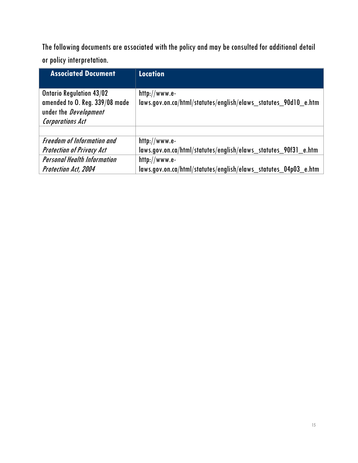The following documents are associated with the policy and may be consulted for additional detail or policy interpretation.

| <b>Associated Document</b>         | <b>Location</b>                                                 |
|------------------------------------|-----------------------------------------------------------------|
|                                    |                                                                 |
| <b>Ontario Regulation 43/02</b>    | $http://www.e-$                                                 |
| amended to O. Reg. 339/08 made     | laws.gov.on.ca/html/statutes/english/elaws statutes 90d10 e.htm |
| under the <i>Development</i>       |                                                                 |
| <b>Corporations Act</b>            |                                                                 |
|                                    |                                                                 |
| <b>Freedom of Information and</b>  | $http://www.e-$                                                 |
| <b>Protection of Privacy Act</b>   | laws.gov.on.ca/html/statutes/english/elaws statutes 90f31 e.htm |
| <b>Personal Health Information</b> | $http://www.e-$                                                 |
| <b>Protection Act, 2004</b>        | laws.gov.on.ca/html/statutes/english/elaws_statutes_04p03_e.htm |